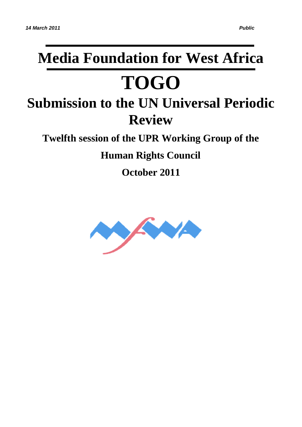# **Media Foundation for West Africa TOGO Submission to the UN Universal Periodic Review**

**Twelfth session of the UPR Working Group of the**

# **Human Rights Council**

**October 2011**

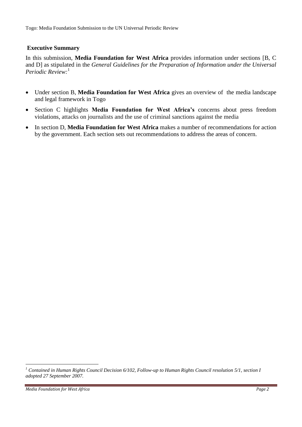# **Executive Summary**

In this submission, **Media Foundation for West Africa** provides information under sections [B, C and D] as stipulated in the *General Guidelines for the Preparation of Information under the Universal Periodic Review:*<sup>1</sup>

- Under section B, **Media Foundation for West Africa** gives an overview of the media landscape and legal framework in Togo
- Section C highlights **Media Foundation for West Africa's** concerns about press freedom violations, attacks on journalists and the use of criminal sanctions against the media
- In section D, **Media Foundation for West Africa** makes a number of recommendations for action by the government. Each section sets out recommendations to address the areas of concern.

 $\overline{a}$ 

*<sup>1</sup> Contained in Human Rights Council Decision 6/102, Follow-up to Human Rights Council resolution 5/1, section I adopted 27 September 2007.*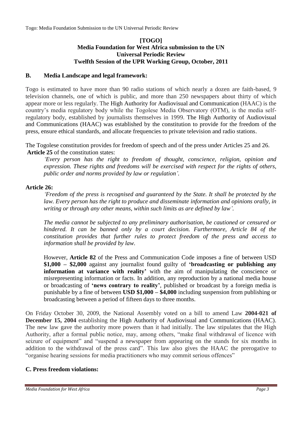Togo: Media Foundation Submission to the UN Universal Periodic Review

#### **[TOGO] Media Foundation for West Africa submission to the UN Universal Periodic Review Twelfth Session of the UPR Working Group, October, 2011**

# **B. Media Landscape and legal framework:**

Togo is estimated to have more than 90 radio stations of which nearly a dozen are faith-based, 9 television channels, one of which is public, and more than 250 newspapers about thirty of which appear more or less regularly. The High Authority for Audiovisual and Communication (HAAC) is the country"s media regulatory body while the Togolese Media Observatory (OTM), is the media selfregulatory body, established by journalists themselves in 1999. The High Authority of Audiovisual and Communications (HAAC) was established by the constitution to provide for the freedom of the press, ensure ethical standards, and allocate frequencies to private television and radio stations.

The Togolese constitution provides for freedom of speech and of the press under Articles 25 and 26. **Article 25** of the constitution states:

*'Every person has the right to freedom of thought, conscience, religion, opinion and expression. These rights and freedoms will be exercised with respect for the rights of others, public order and norms provided by law or regulation'.*

# **Article 26:**

*'Freedom of the press is recognised and guaranteed by the State. It shall be protected by the law. Every person has the right to produce and disseminate information and opinions orally, in writing or through any other means, within such limits as are defined by law'.*

*The media cannot be subjected to any preliminary authorisation, be cautioned or censured or hindered. It can be banned only by a court decision. Furthermore, Article 84 of the constitution provides that further rules to protect freedom of the press and access to information shall be provided by law.*

However, **Article 82** of the Press and Communication Code imposes a fine of between USD **\$1,000 – \$2,000** against any journalist found guilty of **'broadcasting or publishing any information at variance with reality'** with the aim of manipulating the conscience or misrepresenting information or facts. In addition, any reproduction by a national media house or broadcasting of **'news contrary to reality'**, published or broadcast by a foreign media is punishable by a fine of between **USD \$1,000 – \$4,000** including suspension from publishing or broadcasting between a period of fifteen days to three months.

On Friday October 30, 2009, the National Assembly voted on a bill to amend Law **2004-021 of December 15, 2004** establishing the High Authority of Audiovisual and Communications (HAAC). The new law gave the authority more powers than it had initially. The law stipulates that the High Authority, after a formal public notice, may, among others, "make final withdrawal of licence with seizure of equipment" and "suspend a newspaper from appearing on the stands for six months in addition to the withdrawal of the press card". This law also gives the HAAC the prerogative to "organise hearing sessions for media practitioners who may commit serious offences"

#### **C. Press freedom violations:**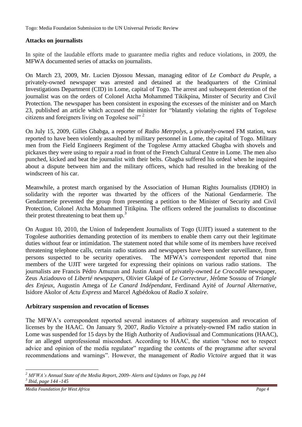Togo: Media Foundation Submission to the UN Universal Periodic Review

#### **Attacks on journalists**

In spite of the laudable efforts made to guarantee media rights and reduce violations, in 2009, the MFWA documented series of attacks on journalists.

On March 23, 2009, Mr. Lucien Djossou Messan, managing editor of *Le Combact du Peuple*, a privately-owned newspaper was arrested and detained at the headquarters of the Criminal Investigations Department (CID) in Lome, capital of Togo. The arrest and subsequent detention of the journalist was on the orders of Colonel Atcha Mohammed Tikikpina, Minster of Security and Civil Protection. The newspaper has been consistent in exposing the excesses of the minister and on March 23, published an article which accused the minister for "blatantly violating the rights of Togolese citizens and foreigners living on Togolese soil"<sup>2</sup>

On July 15, 2009, Gilles Gbabga, a reporter of *Radio Metrpolys*, a privately-owned FM station, was reported to have been violently assaulted by military personnel in Lome, the capital of Togo. Military men from the Field Engineers Regiment of the Togolese Army attacked Gbagba with shovels and pickaxes they were using to repair a road in front of the French Cultural Centre in Lome. The men also punched, kicked and beat the journalist with their belts. Gbagba suffered his ordeal when he inquired about a dispute between him and the military officers, which had resulted in the breaking of the windscreen of his car.

Meanwhile, a protest march organised by the Association of Human Rights Journalists (JDHO) in solidarity with the reporter was thwarted by the officers of the National Gendarmerie. The Gendarmerie prevented the group from presenting a petition to the Minister of Security and Civil Protection, Colonel Atcha Mohammed Titikpina. The officers ordered the journalists to discontinue their protest threatening to beat them up.<sup>3</sup>

On August 10, 2010, the Union of Independent Journalists of Togo (UJIT) issued a statement to the Togolese authorities demanding protection of its members to enable them carry out their legitimate duties without fear or intimidation. The statement noted that while some of its members have received threatening telephone calls, certain radio stations and newspapers have been under surveillance, from persons suspected to be security operatives. The MFWA"s correspondent reported that nine members of the UJIT were targeted for expressing their opinions on various radio stations. The journalists are Francis Pédro Amuzun and Justin Anani of privately-owned *Le Crocodile* newspaper, Zeus Aziadouvo of *Liberté newspapers*, Olivier Glakpé of *Le Correcteur*, Jérôme Sossou of *Triangle des Enjeux*, Augustin Amega of *Le Canard Indépendant*, Ferdinand Ayité of *Journal Alternative*, Isidore Akolor of *Actu Express* and Marcel Agbédokou of *Radio X solaire*.

#### **Arbitrary suspension and revocation of licenses**

The MFWA"s correspondent reported several instances of arbitrary suspension and revocation of licenses by the HAAC. On January 9, 2007, *Radio Victoire* a privately-owned FM radio station in Lome was suspended for 15 days by the High Authority of Audiovisual and Communications (HAAC), for an alleged unprofessional misconduct. According to HAAC, the station "chose not to respect advice and opinion of the media regulator" regarding the contents of the programme after several recommendations and warnings". However, the management of *Radio Victoire* argued that it was

*Media Foundation for West Africa Page 4*

 $\overline{a}$ 

*<sup>2</sup> MFWA's Annual State of the Media Report, 2009- Alerts and Updates on Togo, pg 144 3 Ibid, page 144 -145*